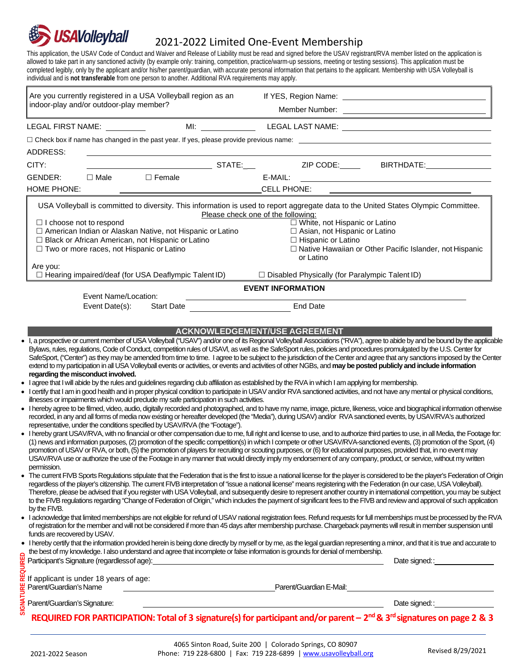

## 2021-2022 Limited One-Event Membership

This application, the USAV Code of Conduct and Waiver and Release of Liability must be read and signed before the USAV registrant/RVA member listed on the application is allowed to take part in any sanctioned activity (by example only: training, competition, practice/warm-up sessions, meeting or testing sessions). This application must be completed legibly, only by the applicant and/or his/her parent/guardian, with accurate personal information that pertains to the applicant. Membership with USA Volleyball is individual and is **not transferable** from one person to another. Additional RVA requirements may apply.

| Are you currently registered in a USA Volleyball region as an<br>indoor-play and/or outdoor-play member?                                                                                              |                              |                                                                                                                                                                                                                                                                                                                                                                                                                                                                                                                                                                                                                                                                                                                                                                                                                                                                                                                                                                                                                                                                                         |  |
|-------------------------------------------------------------------------------------------------------------------------------------------------------------------------------------------------------|------------------------------|-----------------------------------------------------------------------------------------------------------------------------------------------------------------------------------------------------------------------------------------------------------------------------------------------------------------------------------------------------------------------------------------------------------------------------------------------------------------------------------------------------------------------------------------------------------------------------------------------------------------------------------------------------------------------------------------------------------------------------------------------------------------------------------------------------------------------------------------------------------------------------------------------------------------------------------------------------------------------------------------------------------------------------------------------------------------------------------------|--|
| LEGAL FIRST NAME:                                                                                                                                                                                     |                              | MI: LEGAL LAST NAME: LEGAL LAST NAME                                                                                                                                                                                                                                                                                                                                                                                                                                                                                                                                                                                                                                                                                                                                                                                                                                                                                                                                                                                                                                                    |  |
|                                                                                                                                                                                                       |                              | $\Box$ Check box if name has changed in the past year. If yes, please provide previous name: $\Box$                                                                                                                                                                                                                                                                                                                                                                                                                                                                                                                                                                                                                                                                                                                                                                                                                                                                                                                                                                                     |  |
| ADDRESS:                                                                                                                                                                                              |                              |                                                                                                                                                                                                                                                                                                                                                                                                                                                                                                                                                                                                                                                                                                                                                                                                                                                                                                                                                                                                                                                                                         |  |
| CITY:                                                                                                                                                                                                 |                              |                                                                                                                                                                                                                                                                                                                                                                                                                                                                                                                                                                                                                                                                                                                                                                                                                                                                                                                                                                                                                                                                                         |  |
| GENDER:<br>$\square$ Male                                                                                                                                                                             | $\Box$ Female                |                                                                                                                                                                                                                                                                                                                                                                                                                                                                                                                                                                                                                                                                                                                                                                                                                                                                                                                                                                                                                                                                                         |  |
| <b>HOME PHONE:</b>                                                                                                                                                                                    |                              | CELL PHONE:                                                                                                                                                                                                                                                                                                                                                                                                                                                                                                                                                                                                                                                                                                                                                                                                                                                                                                                                                                                                                                                                             |  |
| $\Box$ I choose not to respond<br>□ American Indian or Alaskan Native, not Hispanic or Latino                                                                                                         |                              | USA Volleyball is committed to diversity. This information is used to report aggregate data to the United States Olympic Committee.<br>Please check one of the following:<br>□ White, not Hispanic or Latino<br>□ Asian, not Hispanic or Latino                                                                                                                                                                                                                                                                                                                                                                                                                                                                                                                                                                                                                                                                                                                                                                                                                                         |  |
| □ Black or African American, not Hispanic or Latino<br>□ Two or more races, not Hispanic or Latino                                                                                                    |                              | $\Box$ Hispanic or Latino<br>□ Native Hawaiian or Other Pacific Islander, not Hispanic<br>or Latino                                                                                                                                                                                                                                                                                                                                                                                                                                                                                                                                                                                                                                                                                                                                                                                                                                                                                                                                                                                     |  |
| Are you:<br>$\Box$ Hearing impaired/deaf (for USA Deaflympic Talent ID)                                                                                                                               |                              | $\Box$ Disabled Physically (for Paralympic Talent ID)                                                                                                                                                                                                                                                                                                                                                                                                                                                                                                                                                                                                                                                                                                                                                                                                                                                                                                                                                                                                                                   |  |
|                                                                                                                                                                                                       |                              | <b>EVENT INFORMATION</b>                                                                                                                                                                                                                                                                                                                                                                                                                                                                                                                                                                                                                                                                                                                                                                                                                                                                                                                                                                                                                                                                |  |
| Event Name/Location:                                                                                                                                                                                  |                              | <b>End Date</b>                                                                                                                                                                                                                                                                                                                                                                                                                                                                                                                                                                                                                                                                                                                                                                                                                                                                                                                                                                                                                                                                         |  |
|                                                                                                                                                                                                       |                              |                                                                                                                                                                                                                                                                                                                                                                                                                                                                                                                                                                                                                                                                                                                                                                                                                                                                                                                                                                                                                                                                                         |  |
| Event Date(s):<br>regarding the misconduct involved.                                                                                                                                                  | Start Date <b>Start Date</b> | <b>ACKNOWLEDGEMENT/USE AGREEMENT</b><br>. I, a prospective or current member of USA Volleyball ("USAV") and/or one of its Regional Volleyball Associations ("RVA"), agree to abide by and be bound by the applicable<br>Bylaws, rules, regulations, Code of Conduct, competition rules of USAVI, as well as the SafeSport rules, policies and procedures promulgated by the U.S. Center for<br>SafeSport, ("Center") as they may be amended from time to time. I agree to be subject to the jurisdiction of the Center and agree that any sanctions imposed by the Center<br>extend to my participation in all USA Volleyball events or activities, or events and activities of other NGBs, and may be posted publicly and include information<br>• I agree that I will abide by the rules and guidelines regarding club affiliation as established by the RVA in which I am applying for membership.<br>• I certify that I am in good health and in proper physical condition to participate in USAV and/or RVA sanctioned activities, and not have any mental or physical conditions, |  |
|                                                                                                                                                                                                       |                              | • I hereby agree to be filmed, video, audio, digitally recorded and photographed, and to have my name, image, picture, likeness, voice and biographical information otherwise<br>recorded, in any and all forms of media now existing or hereafter developed (the "Media"), during USAV) and/or RVA sanctioned events, by USAV/RVA's authorized<br>. I hereby grant USAV/RVA, with no financial or other compensation due to me, full right and license to use, and to authorize third parties to use, in all Media, the Footage for:<br>(1) news and information purposes, (2) promotion of the specific competition(s) in which I compete or other USAV/RVA-sanctioned events, (3) promotion of the Sport, (4)<br>promotion of USAV or RVA, or both, (5) the promotion of players for recruiting or scouting purposes, or (6) for educational purposes, provided that, in no event may<br>USAV/RVA use or authorize the use of the Footage in any manner that would directly imply my endorsement of any company, product, or service, without my written                             |  |
| illnesses or impairments which would preclude my safe participation in such activities.<br>representative, under the conditions specified by USAV/RVA (the "Footage").<br>permission.<br>by the FIVB. |                              | • The current FIVB Sports Regulations stipulate that the Federation that is the first to issue a national license for the player is considered to be the player's Federation of Origin<br>regardless of the player's citizenship. The current FIVB interpretation of "issue a national license" means registering with the Federation (in our case, USA Volleyball).<br>Therefore, please be advised that if you register with USA Volleyball, and subsequently desire to represent another country in international competition, you may be subject<br>to the FIVB regulations regarding "Change of Federation of Origin," which includes the payment of significant fees to the FIVB and review and approval of such application<br>• lacknowledge that limited memberships are not eligible for refund of USAV national registration fees. Refund requests for full memberships must be processed by the RVA                                                                                                                                                                         |  |
| funds are recovered by USAV.                                                                                                                                                                          |                              | of registration for the member and will not be considered if more than 45 days after membership purchase. Chargeback payments will result in member suspension until<br>. I hereby certify that the information provided herein is being done directly by myself or by me, as the legal guardian representing a minor, and that it is true and accurate to                                                                                                                                                                                                                                                                                                                                                                                                                                                                                                                                                                                                                                                                                                                              |  |
|                                                                                                                                                                                                       |                              | the best of my knowledge. I also understand and agree that incomplete or false information is grounds for denial of membership.                                                                                                                                                                                                                                                                                                                                                                                                                                                                                                                                                                                                                                                                                                                                                                                                                                                                                                                                                         |  |
| Participant's Signature (regardless of age):<br>If applicant is under 18 years of age:                                                                                                                |                              |                                                                                                                                                                                                                                                                                                                                                                                                                                                                                                                                                                                                                                                                                                                                                                                                                                                                                                                                                                                                                                                                                         |  |
| Parent/Guardian's Name                                                                                                                                                                                |                              | Parent/Guardian E-Mail: Partners and Contract and Contract of the Contract of the Contract of the Contract of T                                                                                                                                                                                                                                                                                                                                                                                                                                                                                                                                                                                                                                                                                                                                                                                                                                                                                                                                                                         |  |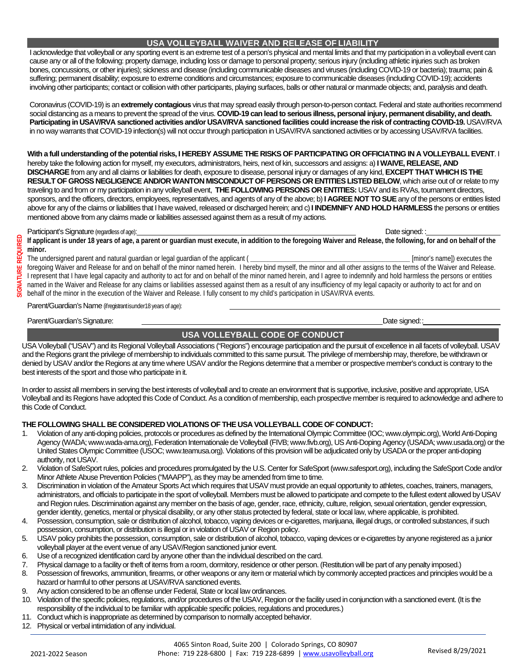I acknowledge that volleyball or any sporting event is an extreme test of a person's physical and mental limits and that my participation in a volleyball event can cause any or all of the following: property damage, including loss or damage to personal property; serious injury (including athletic injuries such as broken bones, concussions, or other injuries); sickness and disease (including communicable diseases and viruses (including COVID-19 or bacteria); trauma; pain & suffering; permanent disability; exposure to extreme conditions and circumstances; exposure to communicable diseases (including COVID-19); accidents involving other participants; contact or collision with other participants, playing surfaces, balls or other natural or manmade objects; and, paralysis and death.

Coronavirus (COVID-19) is an **extremely contagious** virus that may spread easily through person-to-person contact. Federal and state authorities recommend social distancing as a means to prevent the spread of the virus. **COVID-19 can lead to serious illness, personal injury, permanent disability, and death.**  Participating in USAV/RVA sanctioned activities and/or USAV/RVA sanctioned facilities could increase the risk of contracting COVID-19. USAV/RVA in no way warrants that COVID-19 infection(s) will not occur through participation in USAV/RVA sanctioned activities or by accessing USAV/RVA facilities.

**With a full understanding of the potential risks, I HEREBY ASSUME THE RISKS OF PARTICIPATING OR OFFICIATING IN A VOLLEYBALL EVENT**. I hereby take the following action for myself, my executors, administrators, heirs, next of kin, successors and assigns: a) **I WAIVE, RELEASE, AND DISCHARGE**from any and all claims or liabilities for death, exposure to disease, personal injury or damages of any kind, **EXCEPT THAT WHICH IS THE RESULT OF GROSS NEGLIGENCE AND/OR WANTON MISCONDUCT OF PERSONS OR ENTITIES LISTED BELOW**, which arise out of or relate to my traveling to and from or my participation in any volleyball event, **THE FOLLOWING PERSONS OR ENTITIES:** USAV and its RVAs, tournament directors, sponsors, and the officers, directors, employees, representatives, and agents of any of the above; b) **I AGREE NOT TO SUE**any of the persons or entities listed above for any of the claims or liabilities that I have waived, released or discharged herein; and c)**I INDEMNIFY AND HOLD HARMLESS**the persons or entities mentioned above from any claims made or liabilities assessed against them as a result of my actions.

## Participant's Signature (regardless of age):  $\blacksquare$

If applicant is under 18 years of age, a parent or quardian must execute, in addition to the foregoing Waiver and Release, the following, for and on behalf of the **minor.**

The undersigned parent and natural guardian or legal guardian of the applicant ( **\_\_\_\_\_\_\_\_\_\_\_\_\_\_\_\_\_\_\_\_\_\_\_\_\_\_\_\_\_\_\_\_\_\_\_\_\_\_\_\_\_\_\_\_\_\_** [minor's name]) executes the

foregoing Waiver and Release for and on behalf of the minor named herein. I hereby bind myself, the minor and all other assigns to the terms of the Waiver and Release. I represent that I have legal capacity and authority to act for and on behalf of the minor named herein, and I agree to indemnify and hold harmless the persons or entities named in the Waiver and Release for any claims or liabilities assessed against them as a result of any insufficiency of my legal capacity or authority to act for and on behalf of the minor in the execution of the Waiver and Release. I fully consent to my child's participation in USAV/RVA events.

Parent/Guardian's Name (ifregistrantisunder18 years of age):

Parent/Guardian's Signature:  $\blacksquare$ 

## **USA VOLLEYBALL CODE OF CONDUCT**

USA Volleyball ("USAV") and its Regional Volleyball Associations ("Regions") encourage participation and the pursuit of excellence in all facets of volleyball. USAV and the Regions grant the privilege of membership to individuals committed to this same pursuit. The privilege of membership may, therefore, be withdrawn or denied by USAV and/or the Regions at any time where USAV and/or the Regions determine that a member or prospective member's conduct is contrary to the best interests of the sport and those who participate in it.

In order to assist all members in serving the best interests of volleyball and to create an environment that is supportive, inclusive, positive and appropriate, USA Volleyball and its Regions have adopted this Code of Conduct. As a condition of membership, each prospective member is required to acknowledge and adhere to this Code of Conduct.

## **THE FOLLOWING SHALL BE CONSIDERED VIOLATIONS OF THE USA VOLLEYBALL CODE OF CONDUCT:**

- 1. Violation of any anti-doping policies, protocols or procedures as defined by the International Olympic Committee (IOC; www.olympic.org), World Anti-Doping Agency (WADA; www.wada-ama.org), Federation Internationale de Volleyball (FIVB; www.fivb.org), US Anti-Doping Agency (USADA; www.usada.org) or the United States Olympic Committee (USOC; www.teamusa.org). Violations of this provision will be adjudicated only by USADA or the proper anti-doping authority, not USAV.
- 2. Violation of SafeSport rules, policies and procedures promulgated by the U.S. Center for SafeSport (www.safesport.org), including the SafeSport Code and/or Minor Athlete Abuse Prevention Policies ("MAAPP"), as they may be amended from time to time.
- 3. Discrimination in violation of the Amateur Sports Act which requires that USAV must provide an equal opportunity to athletes, coaches, trainers, managers, administrators, and officials to participate in the sport of volleyball. Members must be allowed to participate and compete to the fullest extent allowed by USAV and Region rules. Discrimination against any member on the basis of age, gender, race, ethnicity, culture, religion, sexual orientation, gender expression, gender identity, genetics, mental or physical disability, or any other status protected by federal, state or local law, where applicable, is prohibited.
- 4. Possession, consumption, sale or distribution of alcohol, tobacco, vaping devices or e-cigarettes, marijuana, illegal drugs, or controlled substances, if such possession, consumption, or distribution is illegal or in violation of USAV or Region policy.
- 5. USAV policy prohibits the possession, consumption, sale or distribution of alcohol, tobacco, vaping devices or e-cigarettes by anyone registered as a junior volleyball player at the event venue of any USAV/Region sanctioned junior event.
- 6. Use of a recognized identification card by anyone other than the individual described on the card.
- 7. Physical damage to a facility or theft of items from a room, dormitory, residence or other person. (Restitution will be part of any penalty imposed.)
- 8. Possession of fireworks, ammunition, firearms, or other weapons or any item or material which by commonly accepted practices and principles would be a hazard or harmful to other persons at USAV/RVA sanctioned events.
- 9. Any action considered to be an offense under Federal, State or local law ordinances.
- 10. Violation of the specific policies, regulations, and/or procedures of the USAV, Region or the facility used in conjunction with a sanctioned event. (It is the responsibility of the individual to be familiar with applicable specific policies, regulations and procedures.)
- 11. Conduct which is inappropriate as determined by comparison to normally accepted behavior.
- 12. Physical or verbal intimidation of any individual.